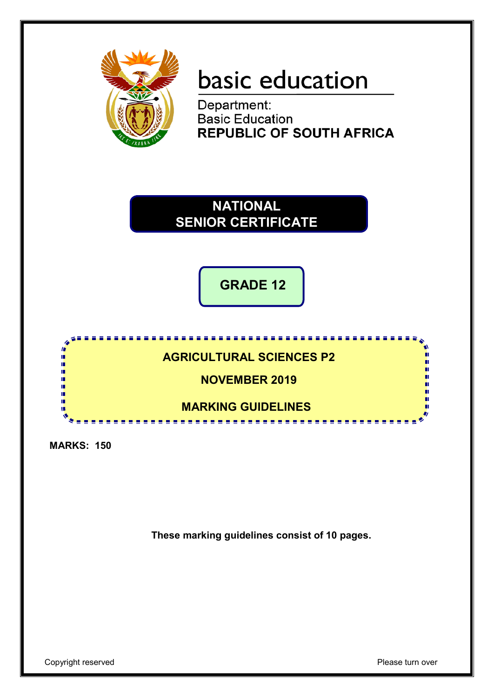

# basic education

Department: **Basic Education REPUBLIC OF SOUTH AFRICA** 

**NATIONAL SENIOR CERTIFICATE**

**GRADE 12**

. . . . . . . . . . . . . **AGRICULTURAL SCIENCES P2** 'n IŪ, **NOVEMBER 2019** ш ń ıń П 'n **MARKING GUIDELINES** ------------------

**MARKS: 150**

**These marking guidelines consist of 10 pages.**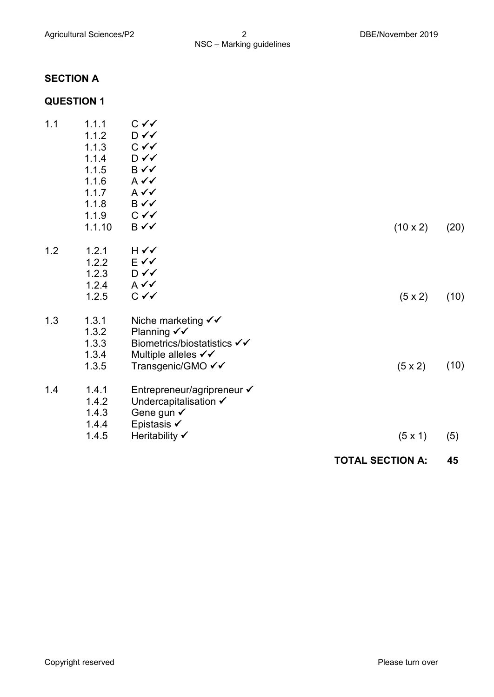### **SECTION A**

### **QUESTION 1**

|     |                |                                                     | <b>TOTAL SECTION A:</b> | 45   |
|-----|----------------|-----------------------------------------------------|-------------------------|------|
|     | 1.4.5          | Heritability √                                      | (5 x 1)                 | (5)  |
|     | 1.4.4          | Epistasis ✔                                         |                         |      |
|     | 1.4.3          | Gene gun $\checkmark$                               |                         |      |
|     | 1.4.2          | Entrepreneur/agripreneur ✔<br>Undercapitalisation √ |                         |      |
| 1.4 | 1.4.1          |                                                     |                         |      |
|     | 1.3.5          | Transgenic/GMO √√                                   | $(5 \times 2)$          | (10) |
|     | 1.3.4          | Multiple alleles √√                                 |                         |      |
|     | 1.3.3          | Biometrics/biostatistics √√                         |                         |      |
|     | 1.3.2          | Planning $\checkmark\checkmark$                     |                         |      |
| 1.3 | 1.3.1          | Niche marketing $\checkmark\checkmark$              |                         |      |
|     |                |                                                     | $(5 \times 2)$          | (10) |
|     | 1.2.5          | $C \vee C$                                          |                         |      |
|     | 1.2.3<br>1.2.4 | $A \vee C$                                          |                         |      |
|     | 1.2.2          | E√√<br>D ✓✓                                         |                         |      |
| 1.2 | 1.2.1          | H √√                                                |                         |      |
|     |                |                                                     |                         |      |
|     | 1.1.10         | B√√                                                 | $(10 \times 2)$         | (20) |
|     | 1.1.9          | $C \vee C$                                          |                         |      |
|     | 1.1.8          | B√√                                                 |                         |      |
|     | 1.1.7          | $A \vee C$                                          |                         |      |
|     | 1.1.6          | $A \vee C$                                          |                         |      |
|     | 1.1.5          | B√√                                                 |                         |      |
|     | 1.1.4          | D✓✓                                                 |                         |      |
|     | 1.1.3          | $C \vee C$                                          |                         |      |
|     | 1.1.2          | D ✓✓                                                |                         |      |
| 1.1 | 1.1.1          | C √√                                                |                         |      |
|     |                |                                                     |                         |      |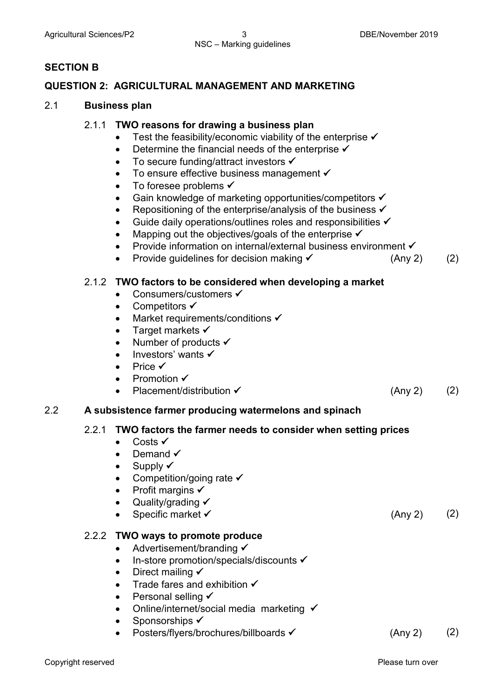### **SECTION B**

### **QUESTION 2: AGRICULTURAL MANAGEMENT AND MARKETING**

### 2.1 **Business plan**

### 2.1.1 **TWO reasons for drawing a business plan**

- Test the feasibility/economic viability of the enterprise  $\checkmark$
- Determine the financial needs of the enterprise  $\checkmark$
- To secure funding/attract investors  $\checkmark$
- To ensure effective business management  $\checkmark$
- To foresee problems  $\checkmark$
- Gain knowledge of marketing opportunities/competitors ✔
- Repositioning of the enterprise/analysis of the business  $\checkmark$
- Guide daily operations/outlines roles and responsibilities  $\checkmark$
- Mapping out the objectives/goals of the enterprise  $\checkmark$
- Provide information on internal/external business environment √
- Provide guidelines for decision making  $\checkmark$  (Any 2) (2)

### 2.1.2 **TWO factors to be considered when developing a market**

- Consumers/customers  $\checkmark$
- Competitors  $\checkmark$
- Market requirements/conditions  $\checkmark$
- Target markets  $\checkmark$
- Number of products  $\checkmark$
- Investors' wants  $\checkmark$
- Price  $\checkmark$
- Promotion  $\checkmark$
- Placement/distribution  $\checkmark$  (Any 2) (2)

### 2.2 **A subsistence farmer producing watermelons and spinach**

### 2.2.1 **TWO factors the farmer needs to consider when setting prices**

- Costs  $\checkmark$
- Demand  $\checkmark$
- Supply  $\checkmark$
- Competition/going rate  $\checkmark$
- Profit margins  $\checkmark$
- Quality/grading  $\checkmark$
- Specific market **✓** (Any 2) (2)

### 2.2.2 **TWO ways to promote produce**

- Advertisement/branding  $\checkmark$
- $\bullet$  In-store promotion/specials/discounts  $\checkmark$
- Direct mailing  $\checkmark$
- Trade fares and exhibition  $\checkmark$
- Personal selling  $\checkmark$
- Online/internet/social media marketing  $\checkmark$
- Sponsorships  $\checkmark$
- Posters/flyers/brochures/billboards <del>V</del> (Any 2) (2)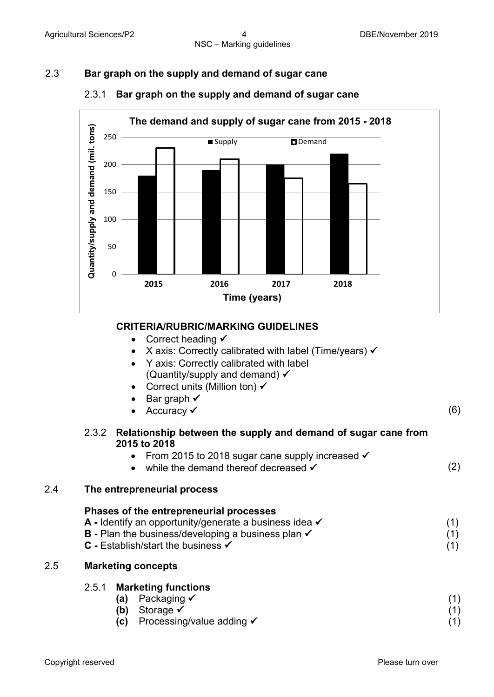### 2.3 **Bar graph on the supply and demand of sugar cane**



### 2.3.1 **Bar graph on the supply and demand of sugar cane**

### **CRITERIA/RUBRIC/MARKING GUIDELINES**

- Correct heading  $\checkmark$
- X axis: Correctly calibrated with label (Time/years)  $\checkmark$
- Y axis: Correctly calibrated with label (Quantity/supply and demand)
- Correct units (Million ton)  $\checkmark$
- Bar graph  $\checkmark$
- Accuracy  $\checkmark$  (6)

### 2.3.2 **Relationship between the supply and demand of sugar cane from 2015 to 2018**

- From 2015 to 2018 sugar cane supply increased  $\checkmark$
- while the demand thereof decreased  $\checkmark$  (2)

### 2.4 **The entrepreneurial process**

| Phases of the entrepreneurial processes                              |     |
|----------------------------------------------------------------------|-----|
| A - Identify an opportunity/generate a business idea $\checkmark$    |     |
| <b>B</b> - Plan the business/developing a business plan $\checkmark$ | (1) |
| <b>C</b> - Establish/start the business $\checkmark$                 | (1) |

### 2.5 **Marketing concepts**

### 2.5.1 **Marketing functions**

| (a) | , Packaging $\checkmark$             |  |
|-----|--------------------------------------|--|
|     | (b) Storage $\checkmark$             |  |
| (C) | Processing/value adding $\checkmark$ |  |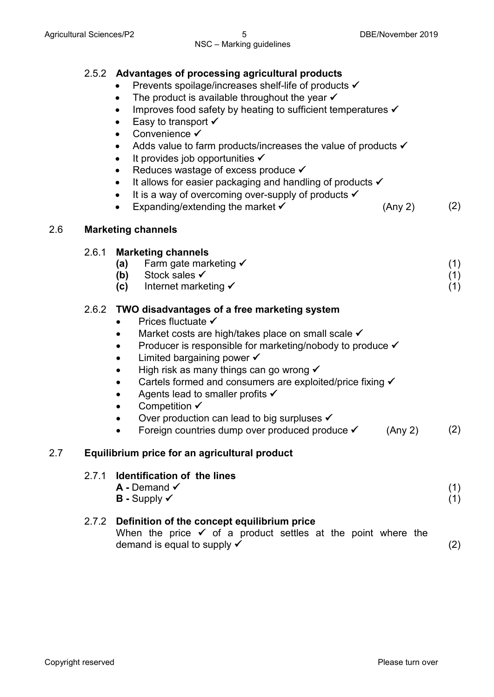|     |       | 2.5.2 Advantages of processing agricultural products<br>Prevents spoilage/increases shelf-life of products √<br>The product is available throughout the year $\checkmark$<br>$\bullet$<br>Improves food safety by heating to sufficient temperatures ✔<br>$\bullet$<br>Easy to transport $\checkmark$<br>٠<br>Convenience ✔<br>Adds value to farm products/increases the value of products √<br>$\bullet$<br>It provides job opportunities $\checkmark$<br>$\bullet$<br>Reduces wastage of excess produce √<br>$\bullet$<br>It allows for easier packaging and handling of products ✔<br>It is a way of overcoming over-supply of products $\checkmark$<br>$\bullet$<br>Expanding/extending the market $\checkmark$<br>(Any 2)<br>$\bullet$ | (2)               |
|-----|-------|---------------------------------------------------------------------------------------------------------------------------------------------------------------------------------------------------------------------------------------------------------------------------------------------------------------------------------------------------------------------------------------------------------------------------------------------------------------------------------------------------------------------------------------------------------------------------------------------------------------------------------------------------------------------------------------------------------------------------------------------|-------------------|
| 2.6 |       | <b>Marketing channels</b>                                                                                                                                                                                                                                                                                                                                                                                                                                                                                                                                                                                                                                                                                                                   |                   |
|     | 2.6.1 | <b>Marketing channels</b><br>Farm gate marketing $\checkmark$<br>(a)<br>(b) Stock sales $\checkmark$<br>(c) Internet marketing $\checkmark$                                                                                                                                                                                                                                                                                                                                                                                                                                                                                                                                                                                                 | (1)<br>(1)<br>(1) |
|     |       | 2.6.2 TWO disadvantages of a free marketing system<br>Prices fluctuate ✔<br>Market costs are high/takes place on small scale √<br>Producer is responsible for marketing/nobody to produce ✔<br>$\bullet$<br>Limited bargaining power $\checkmark$<br>$\bullet$<br>High risk as many things can go wrong $\checkmark$<br>$\bullet$<br>Cartels formed and consumers are exploited/price fixing √<br>$\bullet$<br>Agents lead to smaller profits $\checkmark$<br>$\bullet$<br>Competition $\checkmark$<br>$\bullet$<br>Over production can lead to big surpluses ✔<br>Foreign countries dump over produced produce $\checkmark$ (Any 2)                                                                                                        | (2)               |
| 2.7 |       | Equilibrium price for an agricultural product                                                                                                                                                                                                                                                                                                                                                                                                                                                                                                                                                                                                                                                                                               |                   |
|     | 2.7.1 | Identification of the lines<br>$A$ - Demand $\checkmark$<br>$B$ - Supply $\checkmark$                                                                                                                                                                                                                                                                                                                                                                                                                                                                                                                                                                                                                                                       | (1)<br>(1)        |
|     |       | 2.7.2 Definition of the concept equilibrium price<br>When the price $\checkmark$ of a product settles at the point where the<br>demand is equal to supply $\checkmark$                                                                                                                                                                                                                                                                                                                                                                                                                                                                                                                                                                      | (2)               |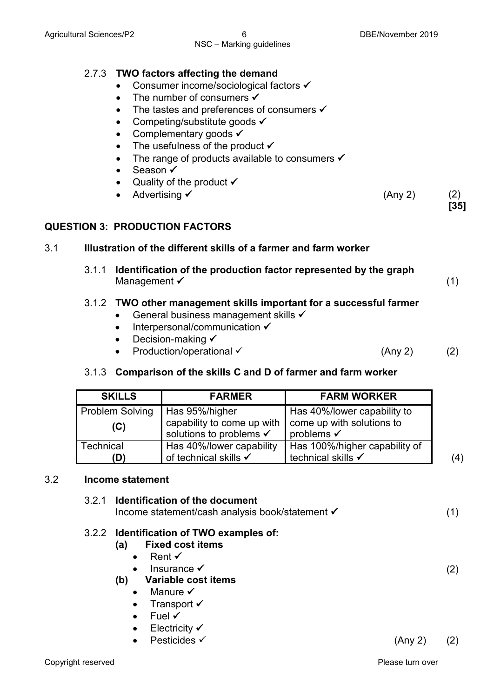### 2.7.3 **TWO factors affecting the demand**

- Consumer income/sociological factors  $\checkmark$
- The number of consumers  $\checkmark$
- The tastes and preferences of consumers  $\checkmark$
- Competing/substitute goods  $\checkmark$
- Complementary goods  $\checkmark$
- The usefulness of the product  $\checkmark$
- The range of products available to consumers  $\checkmark$
- Season ✔
- Quality of the product  $\checkmark$
- Advertising  $\checkmark$  (Any 2) (2)

### **QUESTION 3: PRODUCTION FACTORS**

### 3.1 **Illustration of the different skills of a farmer and farm worker**

3.1.1 **Identification of the production factor represented by the graph**  Management  $\checkmark$  (1)

### 3.1.2 **TWO other management skills important for a successful farmer**

- General business management skills  $\checkmark$
- $\bullet$  Interpersonal/communication  $\checkmark$
- Decision-making  $\checkmark$
- Production/operational  $\checkmark$  (Any 2) (2)

### 3.1.3 **Comparison of the skills C and D of farmer and farm worker**

| <b>SKILLS</b>          | <b>FARMER</b>                                         | <b>FARM WORKER</b>                                  |
|------------------------|-------------------------------------------------------|-----------------------------------------------------|
| <b>Problem Solving</b> | Has 95%/higher                                        | Has 40%/lower capability to                         |
| (C)                    | capability to come up with<br>solutions to problems ✔ | come up with solutions to<br>problems $\checkmark$  |
| Technical<br>(D)       | Has 40%/lower capability<br>of technical skills √     | Has 100%/higher capability of<br>technical skills √ |

### 3.2 **Income statement**

| 3.2.1 Identification of the document<br>Income statement/cash analysis book/statement √                                                                                                       |         | (1) |
|-----------------------------------------------------------------------------------------------------------------------------------------------------------------------------------------------|---------|-----|
| 3.2.2 Identification of TWO examples of:<br><b>Fixed cost items</b><br>(a)<br>• Rent $\checkmark$                                                                                             |         |     |
| Insurance $\checkmark$<br>Variable cost items<br>(b)<br>Manure $\checkmark$<br>$\bullet$<br>Transport $\checkmark$<br>$\bullet$<br>Fuel $\checkmark$<br>Electricity $\checkmark$<br>$\bullet$ |         | (2) |
| Pesticides $\checkmark$                                                                                                                                                                       | (Any 2) | (2) |

**[35]**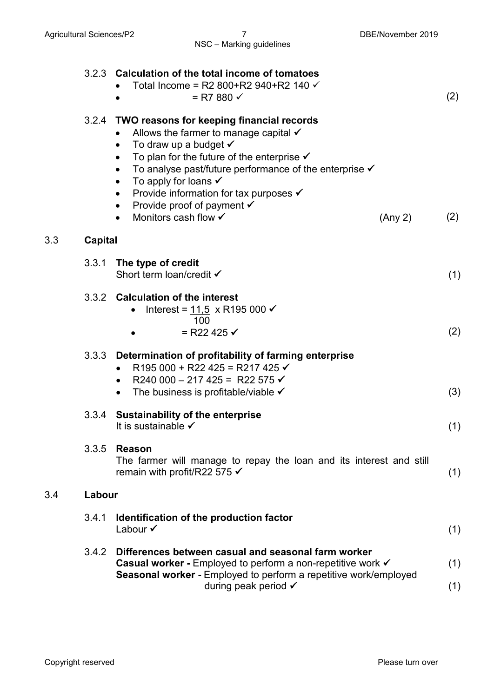|     |         | 3.2.3 Calculation of the total income of tomatoes<br>Total Income = R2 800+R2 940+R2 140 $\checkmark$<br>$=$ R7 880 $\checkmark$                                                                                                                                                                                                                                                                                                                                                                                     | (2) |  |
|-----|---------|----------------------------------------------------------------------------------------------------------------------------------------------------------------------------------------------------------------------------------------------------------------------------------------------------------------------------------------------------------------------------------------------------------------------------------------------------------------------------------------------------------------------|-----|--|
|     | 3.2.4   | TWO reasons for keeping financial records<br>Allows the farmer to manage capital $\checkmark$<br>To draw up a budget $\checkmark$<br>To plan for the future of the enterprise $\checkmark$<br>$\bullet$<br>To analyse past/future performance of the enterprise $\checkmark$<br>$\bullet$<br>To apply for loans $\checkmark$<br>$\bullet$<br>Provide information for tax purposes $\checkmark$<br>٠<br>Provide proof of payment $\checkmark$<br>$\bullet$<br>Monitors cash flow <del>✓</del><br>(Any 2)<br>$\bullet$ | (2) |  |
| 3.3 | Capital |                                                                                                                                                                                                                                                                                                                                                                                                                                                                                                                      |     |  |
|     | 3.3.1   | The type of credit<br>Short term loan/credit √                                                                                                                                                                                                                                                                                                                                                                                                                                                                       | (1) |  |
|     |         | 3.3.2 Calculation of the interest<br>Interest = $11,5 \times R$ 195 000 <del>✓</del><br>$\bullet$<br>100<br>= R22 425 $\checkmark$                                                                                                                                                                                                                                                                                                                                                                                   | (2) |  |
|     | 3.3.3   | Determination of profitability of farming enterprise<br>R195 000 + R22 425 = R217 425 $\checkmark$<br>R240 000 - 217 425 = R22 575 $\checkmark$<br>$\bullet$<br>The business is profitable/viable $\checkmark$                                                                                                                                                                                                                                                                                                       | (3) |  |
|     | 3.3.4   | <b>Sustainability of the enterprise</b><br>It is sustainable $\checkmark$                                                                                                                                                                                                                                                                                                                                                                                                                                            | (1) |  |
|     | 3.3.5   | <b>Reason</b><br>The farmer will manage to repay the loan and its interest and still<br>remain with profit/R22 575 $\checkmark$                                                                                                                                                                                                                                                                                                                                                                                      | (1) |  |
| 3.4 | Labour  |                                                                                                                                                                                                                                                                                                                                                                                                                                                                                                                      |     |  |
|     | 3.4.1   | Identification of the production factor<br>Labour $\checkmark$                                                                                                                                                                                                                                                                                                                                                                                                                                                       | (1) |  |
|     | 3.4.2   | Differences between casual and seasonal farm worker<br>Casual worker - Employed to perform a non-repetitive work √<br>Seasonal worker - Employed to perform a repetitive work/employed                                                                                                                                                                                                                                                                                                                               | (1) |  |
|     |         | during peak period $\checkmark$                                                                                                                                                                                                                                                                                                                                                                                                                                                                                      | (1) |  |
|     |         |                                                                                                                                                                                                                                                                                                                                                                                                                                                                                                                      |     |  |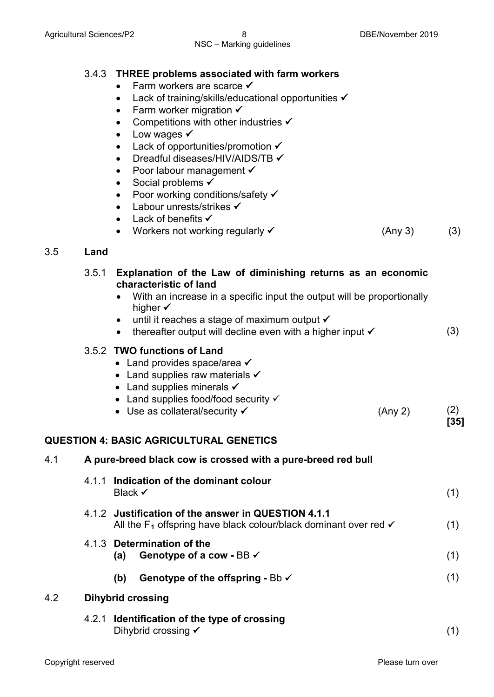- Farm workers are scarce  $\checkmark$
- Lack of training/skills/educational opportunities  $\checkmark$
- Farm worker migration  $\checkmark$
- Competitions with other industries  $\checkmark$
- Low wages  $\checkmark$
- Lack of opportunities/promotion
- Dreadful diseases/HIV/AIDS/TB  $\checkmark$
- Poor labour management  $\checkmark$
- Social problems  $\checkmark$
- Poor working conditions/safety
- Labour unrests/strikes
- Lack of benefits
- Workers not working regularly  $\checkmark$  (Any 3) (3) (3)

### 3.5 **Land**

|     |       | <b>VVOINGIS HOL WORKING LOGGIORTY</b>                                                                                                                                                                                                                                                                                          | (M11)   | $\mathcal{U}$ |  |  |
|-----|-------|--------------------------------------------------------------------------------------------------------------------------------------------------------------------------------------------------------------------------------------------------------------------------------------------------------------------------------|---------|---------------|--|--|
| 3.5 | Land  |                                                                                                                                                                                                                                                                                                                                |         |               |  |  |
|     | 3.5.1 | Explanation of the Law of diminishing returns as an economic<br>characteristic of land<br>With an increase in a specific input the output will be proportionally<br>higher $\checkmark$<br>until it reaches a stage of maximum output ✔<br>$\bullet$<br>thereafter output will decline even with a higher input √<br>$\bullet$ |         | (3)           |  |  |
|     |       | 3.5.2 TWO functions of Land<br>• Land provides space/area $\checkmark$<br>• Land supplies raw materials $\checkmark$<br>• Land supplies minerals $\checkmark$<br>• Land supplies food/food security $\checkmark$<br>• Use as collateral/security $\checkmark$<br><b>QUESTION 4: BASIC AGRICULTURAL GENETICS</b>                | (Any 2) | (2)<br>$[35]$ |  |  |
| 4.1 |       |                                                                                                                                                                                                                                                                                                                                |         |               |  |  |
|     |       | A pure-breed black cow is crossed with a pure-breed red bull                                                                                                                                                                                                                                                                   |         |               |  |  |
|     |       | 4.1.1 Indication of the dominant colour<br>Black $\checkmark$                                                                                                                                                                                                                                                                  |         | (1)           |  |  |
|     |       | 4.1.2 Justification of the answer in QUESTION 4.1.1<br>All the $F_1$ offspring have black colour/black dominant over red $\checkmark$                                                                                                                                                                                          |         | (1)           |  |  |
|     |       | 4.1.3 Determination of the<br>Genotype of a cow - BB √<br>(a)                                                                                                                                                                                                                                                                  |         | (1)           |  |  |
|     |       | (b)<br>Genotype of the offspring - Bb $\checkmark$                                                                                                                                                                                                                                                                             |         | (1)           |  |  |
| 4.2 |       | <b>Dihybrid crossing</b>                                                                                                                                                                                                                                                                                                       |         |               |  |  |
|     |       | 4.2.1 Identification of the type of crossing<br>Dihybrid crossing $\checkmark$                                                                                                                                                                                                                                                 |         | (1)           |  |  |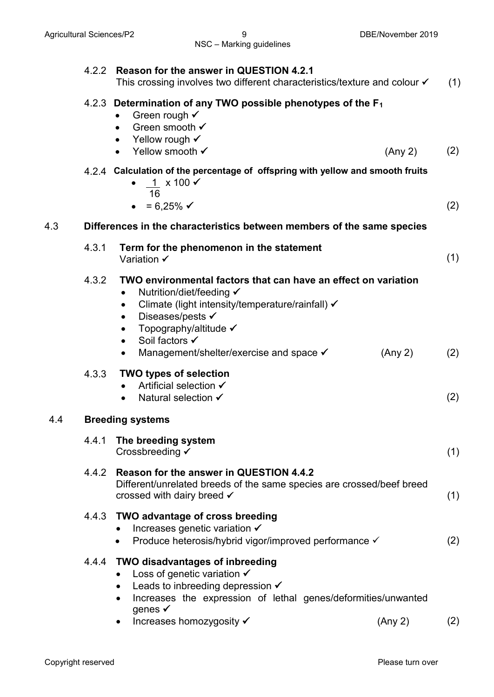|     | 4.2.2 | Reason for the answer in QUESTION 4.2.1<br>This crossing involves two different characteristics/texture and colour $\checkmark$                                                                                                                                                                                                                   | (1) |
|-----|-------|---------------------------------------------------------------------------------------------------------------------------------------------------------------------------------------------------------------------------------------------------------------------------------------------------------------------------------------------------|-----|
|     |       | 4.2.3 Determination of any TWO possible phenotypes of the F <sub>1</sub><br>Green rough $\checkmark$<br>Green smooth √<br>Yellow rough $\checkmark$<br>Yellow smooth √<br>(Any 2)                                                                                                                                                                 | (2) |
|     |       | 4.2.4 Calculation of the percentage of offspring with yellow and smooth fruits<br>$1 \times 100 \checkmark$<br>16<br>= 6,25% $\checkmark$                                                                                                                                                                                                         | (2) |
| 4.3 |       | Differences in the characteristics between members of the same species                                                                                                                                                                                                                                                                            |     |
|     | 4.3.1 | Term for the phenomenon in the statement<br>Variation ✔                                                                                                                                                                                                                                                                                           | (1) |
|     | 4.3.2 | TWO environmental factors that can have an effect on variation<br>Nutrition/diet/feeding √<br>$\bullet$<br>Climate (light intensity/temperature/rainfall) √<br>$\bullet$<br>Diseases/pests √<br>$\bullet$<br>Topography/altitude ✔<br>$\bullet$<br>Soil factors ✔<br>$\bullet$<br>Management/shelter/exercise and space √<br>(Any 2)<br>$\bullet$ | (2) |
|     | 4.3.3 | <b>TWO types of selection</b><br>Artificial selection ✔<br>Natural selection ✔                                                                                                                                                                                                                                                                    | (2) |
| 4.4 |       | <b>Breeding systems</b>                                                                                                                                                                                                                                                                                                                           |     |
|     | 4.4.1 | The breeding system<br>Crossbreeding √                                                                                                                                                                                                                                                                                                            | (1) |
|     | 4.4.2 | Reason for the answer in QUESTION 4.4.2<br>Different/unrelated breeds of the same species are crossed/beef breed<br>crossed with dairy breed $\checkmark$                                                                                                                                                                                         | (1) |
|     | 4.4.3 | <b>TWO advantage of cross breeding</b><br>Increases genetic variation $\checkmark$<br>Produce heterosis/hybrid vigor/improved performance √                                                                                                                                                                                                       | (2) |
|     | 4.4.4 | <b>TWO disadvantages of inbreeding</b><br>Loss of genetic variation $\checkmark$<br>Leads to inbreeding depression $\checkmark$<br>Increases the expression of lethal genes/deformities/unwanted<br>$\bullet$<br>genes $\checkmark$<br>Increases homozygosity ✔<br>(Any 2)<br>$\bullet$                                                           | (2) |